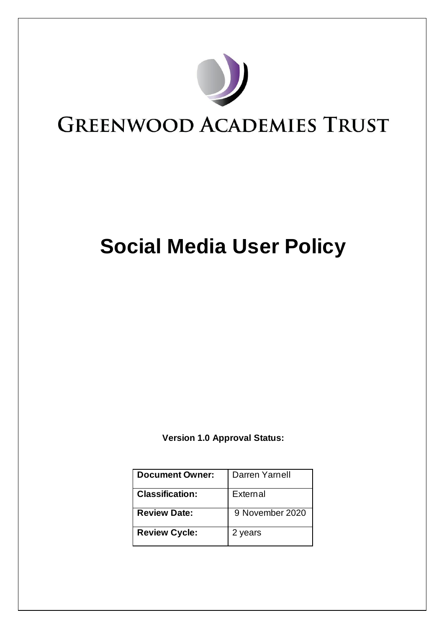

# **Social Media User Policy**

**Version 1.0 Approval Status:**

| <b>Document Owner:</b> | Darren Yarnell  |
|------------------------|-----------------|
| <b>Classification:</b> | External        |
| <b>Review Date:</b>    | 9 November 2020 |
| <b>Review Cycle:</b>   | 2 years         |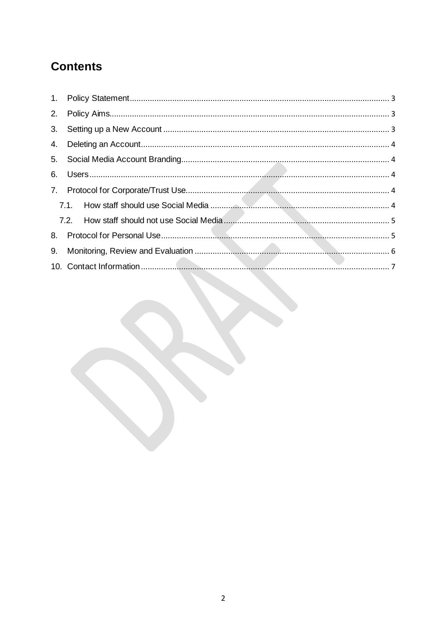# **Contents**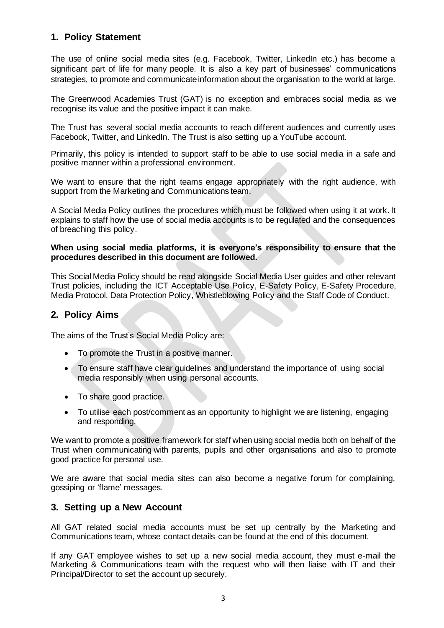# <span id="page-2-0"></span>**1. Policy Statement**

The use of online social media sites (e.g. Facebook, Twitter, LinkedIn etc.) has become a significant part of life for many people. It is also a key part of businesses' communications strategies, to promote and communicate information about the organisation to the world at large.

The Greenwood Academies Trust (GAT) is no exception and embraces social media as we recognise its value and the positive impact it can make.

The Trust has several social media accounts to reach different audiences and currently uses Facebook, Twitter, and LinkedIn. The Trust is also setting up a YouTube account.

Primarily, this policy is intended to support staff to be able to use social media in a safe and positive manner within a professional environment.

We want to ensure that the right teams engage appropriately with the right audience, with support from the Marketing and Communications team.

A Social Media Policy outlines the procedures which must be followed when using it at work. It explains to staff how the use of social media accounts is to be regulated and the consequences of breaching this policy.

#### **When using social media platforms, it is everyone's responsibility to ensure that the procedures described in this document are followed.**

This Social Media Policy should be read alongside Social Media User guides and other relevant Trust policies, including the ICT Acceptable Use Policy, E-Safety Policy, E-Safety Procedure, Media Protocol, Data Protection Policy, Whistleblowing Policy and the Staff Code of Conduct.

# <span id="page-2-1"></span>**2. Policy Aims**

The aims of the Trust's Social Media Policy are:

- To promote the Trust in a positive manner.
- To ensure staff have clear guidelines and understand the importance of using social media responsibly when using personal accounts.
- To share good practice.
- To utilise each post/comment as an opportunity to highlight we are listening, engaging and responding.

We want to promote a positive framework for staff when using social media both on behalf of the Trust when communicating with parents, pupils and other organisations and also to promote good practice for personal use.

We are aware that social media sites can also become a negative forum for complaining, gossiping or 'flame' messages.

#### <span id="page-2-2"></span>**3. Setting up a New Account**

All GAT related social media accounts must be set up centrally by the Marketing and Communications team, whose contact details can be found at the end of this document.

If any GAT employee wishes to set up a new social media account, they must e-mail the Marketing & Communications team with the request who will then liaise with IT and their Principal/Director to set the account up securely.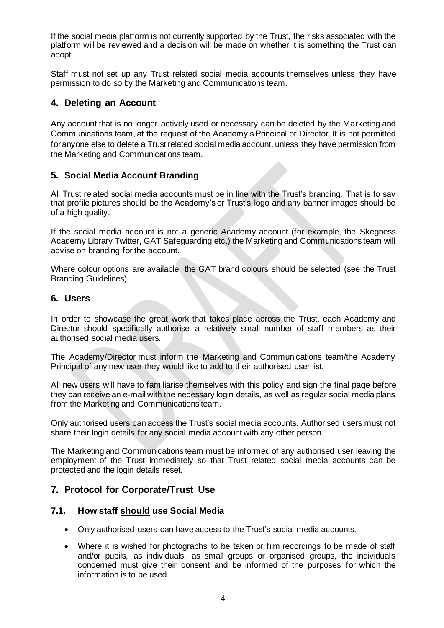If the social media platform is not currently supported by the Trust, the risks associated with the platform will be reviewed and a decision will be made on whether it is something the Trust can adopt.

Staff must not set up any Trust related social media accounts themselves unless they have permission to do so by the Marketing and Communications team.

### <span id="page-3-0"></span>**4. Deleting an Account**

Any account that is no longer actively used or necessary can be deleted by the Marketing and Communications team, at the request of the Academy's Principal or Director. It is not permitted for anyone else to delete a Trust related social media account, unless they have permission from the Marketing and Communications team.

#### <span id="page-3-1"></span>**5. Social Media Account Branding**

All Trust related social media accounts must be in line with the Trust's branding. That is to say that profile pictures should be the Academy's or Trust's logo and any banner images should be of a high quality.

If the social media account is not a generic Academy account (for example, the Skegness Academy Library Twitter, GAT Safeguarding etc.) the Marketing and Communications team will advise on branding for the account.

Where colour options are available, the GAT brand colours should be selected (see the Trust Branding Guidelines).

#### <span id="page-3-2"></span>**6. Users**

In order to showcase the great work that takes place across the Trust, each Academy and Director should specifically authorise a relatively small number of staff members as their authorised social media users.

The Academy/Director must inform the Marketing and Communications team/the Academy Principal of any new user they would like to add to their authorised user list.

All new users will have to familiarise themselves with this policy and sign the final page before they can receive an e-mail with the necessary login details, as well as regular social media plans from the Marketing and Communications team.

Only authorised users can access the Trust's social media accounts. Authorised users must not share their login details for any social media account with any other person.

The Marketing and Communications team must be informed of any authorised user leaving the employment of the Trust immediately so that Trust related social media accounts can be protected and the login details reset.

#### <span id="page-3-3"></span>**7. Protocol for Corporate/Trust Use**

#### <span id="page-3-4"></span>**7.1. How staff should use Social Media**

- Only authorised users can have access to the Trust's social media accounts.
- Where it is wished for photographs to be taken or film recordings to be made of staff and/or pupils, as individuals, as small groups or organised groups, the individuals concerned must give their consent and be informed of the purposes for which the information is to be used.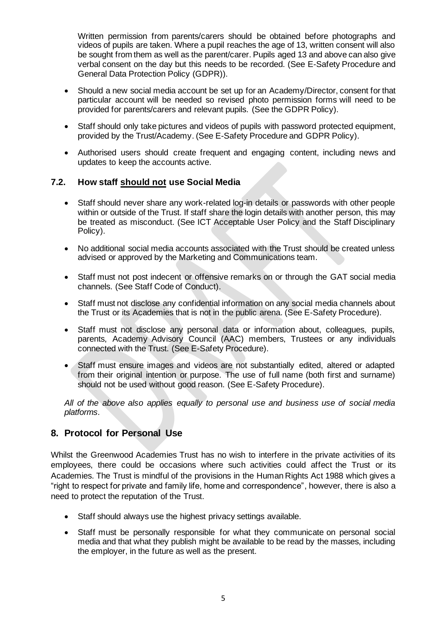Written permission from parents/carers should be obtained before photographs and videos of pupils are taken. Where a pupil reaches the age of 13, written consent will also be sought from them as well as the parent/carer. Pupils aged 13 and above can also give verbal consent on the day but this needs to be recorded. (See E-Safety Procedure and General Data Protection Policy (GDPR)).

- Should a new social media account be set up for an Academy/Director, consent for that particular account will be needed so revised photo permission forms will need to be provided for parents/carers and relevant pupils. (See the GDPR Policy).
- Staff should only take pictures and videos of pupils with password protected equipment, provided by the Trust/Academy. (See E-Safety Procedure and GDPR Policy).
- Authorised users should create frequent and engaging content, including news and updates to keep the accounts active.

#### <span id="page-4-0"></span>**7.2. How staff should not use Social Media**

- Staff should never share any work-related log-in details or passwords with other people within or outside of the Trust. If staff share the login details with another person, this may be treated as misconduct. (See ICT Acceptable User Policy and the Staff Disciplinary Policy).
- No additional social media accounts associated with the Trust should be created unless advised or approved by the Marketing and Communications team.
- Staff must not post indecent or offensive remarks on or through the GAT social media channels. (See Staff Code of Conduct).
- Staff must not disclose any confidential information on any social media channels about the Trust or its Academies that is not in the public arena. (See E-Safety Procedure).
- Staff must not disclose any personal data or information about, colleagues, pupils, parents, Academy Advisory Council (AAC) members, Trustees or any individuals connected with the Trust. (See E-Safety Procedure).
- Staff must ensure images and videos are not substantially edited, altered or adapted from their original intention or purpose. The use of full name (both first and surname) should not be used without good reason. (See E-Safety Procedure).

*All of the above also applies equally to personal use and business use of social media platforms.* 

## <span id="page-4-1"></span>**8. Protocol for Personal Use**

Whilst the Greenwood Academies Trust has no wish to interfere in the private activities of its employees, there could be occasions where such activities could affect the Trust or its Academies. The Trust is mindful of the provisions in the Human Rights Act 1988 which gives a "right to respect for private and family life, home and correspondence", however, there is also a need to protect the reputation of the Trust.

- Staff should always use the highest privacy settings available.
- Staff must be personally responsible for what they communicate on personal social media and that what they publish might be available to be read by the masses, including the employer, in the future as well as the present.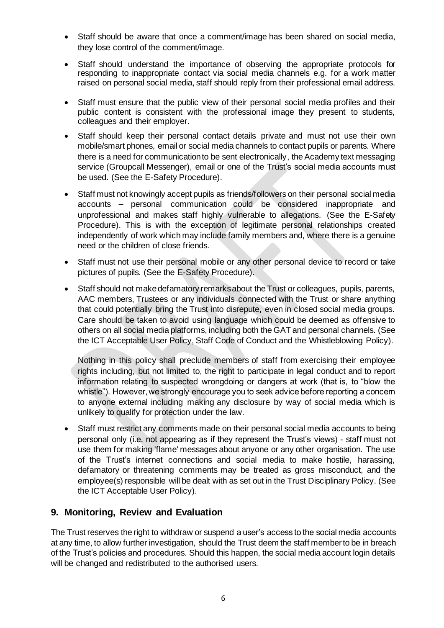- Staff should be aware that once a comment/image has been shared on social media, they lose control of the comment/image.
- Staff should understand the importance of observing the appropriate protocols for responding to inappropriate contact via social media channels e.g. for a work matter raised on personal social media, staff should reply from their professional email address.
- Staff must ensure that the public view of their personal social media profiles and their public content is consistent with the professional image they present to students, colleagues and their employer.
- Staff should keep their personal contact details private and must not use their own mobile/smart phones, email or social media channels to contact pupils or parents. Where there is a need for communication to be sent electronically, the Academy text messaging service (Groupcall Messenger), email or one of the Trust's social media accounts must be used. (See the E-Safety Procedure).
- Staff must not knowingly accept pupils as friends/followers on their personal social media accounts – personal communication could be considered inappropriate and unprofessional and makes staff highly vulnerable to allegations. (See the E-Safety Procedure). This is with the exception of legitimate personal relationships created independently of work which may include family members and, where there is a genuine need or the children of close friends.
- Staff must not use their personal mobile or any other personal device to record or take pictures of pupils. (See the E-Safety Procedure).
- Staff should not make defamatory remarks about the Trust or colleagues, pupils, parents, AAC members, Trustees or any individuals connected with the Trust or share anything that could potentially bring the Trust into disrepute, even in closed social media groups. Care should be taken to avoid using language which could be deemed as offensive to others on all social media platforms, including both the GAT and personal channels. (See the ICT Acceptable User Policy, Staff Code of Conduct and the Whistleblowing Policy).

Nothing in this policy shall preclude members of staff from exercising their employee rights including, but not limited to, the right to participate in legal conduct and to report information relating to suspected wrongdoing or dangers at work (that is, to "blow the whistle"). However, we strongly encourage you to seek advice before reporting a concem to anyone external including making any disclosure by way of social media which is unlikely to qualify for protection under the law.

• Staff must restrict any comments made on their personal social media accounts to being personal only (i.e. not appearing as if they represent the Trust's views) - staff must not use them for making 'flame' messages about anyone or any other organisation. The use of the Trust's internet connections and social media to make hostile, harassing, defamatory or threatening comments may be treated as gross misconduct, and the employee(s) responsible will be dealt with as set out in the Trust Disciplinary Policy. (See the ICT Acceptable User Policy).

# <span id="page-5-0"></span>**9. Monitoring, Review and Evaluation**

The Trust reserves the right to withdraw or suspend a user's access to the social media accounts at any time, to allow further investigation, should the Trust deem the staff member to be in breach of the Trust's policies and procedures. Should this happen, the social media account login details will be changed and redistributed to the authorised users.